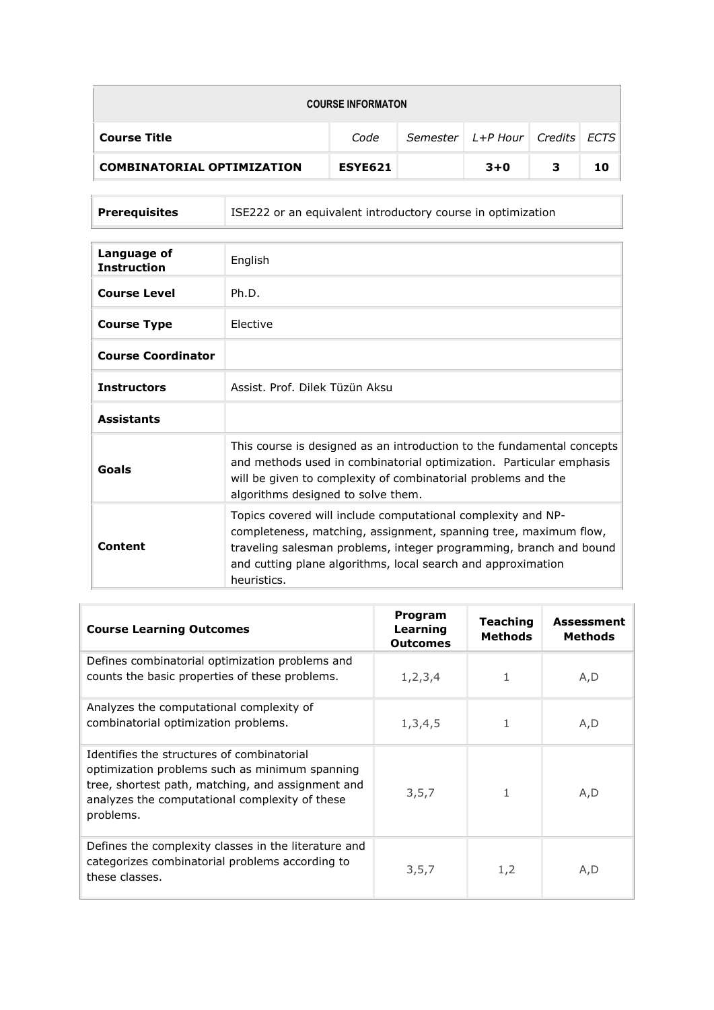| <b>COURSE INFORMATON</b>          |                |  |                                      |   |    |  |  |
|-----------------------------------|----------------|--|--------------------------------------|---|----|--|--|
| <b>Course Title</b>               | Code           |  | Semester   L+P Hour   Credits   ECTS |   |    |  |  |
| <b>COMBINATORIAL OPTIMIZATION</b> | <b>ESYE621</b> |  | $3+0$                                | 3 | 10 |  |  |

| <b>Prerequisites</b> | ISE222 or an equivalent introductory course in optimization |
|----------------------|-------------------------------------------------------------|

| Language of<br><b>Instruction</b> | English                                                                                                                                                                                                                                                                               |
|-----------------------------------|---------------------------------------------------------------------------------------------------------------------------------------------------------------------------------------------------------------------------------------------------------------------------------------|
| <b>Course Level</b>               | Ph.D.                                                                                                                                                                                                                                                                                 |
| <b>Course Type</b>                | <b>Flective</b>                                                                                                                                                                                                                                                                       |
| <b>Course Coordinator</b>         |                                                                                                                                                                                                                                                                                       |
| <b>Instructors</b>                | Assist, Prof. Dilek Tüzün Aksu                                                                                                                                                                                                                                                        |
| <b>Assistants</b>                 |                                                                                                                                                                                                                                                                                       |
| Goals                             | This course is designed as an introduction to the fundamental concepts<br>and methods used in combinatorial optimization. Particular emphasis<br>will be given to complexity of combinatorial problems and the<br>algorithms designed to solve them.                                  |
| Content                           | Topics covered will include computational complexity and NP-<br>completeness, matching, assignment, spanning tree, maximum flow,<br>traveling salesman problems, integer programming, branch and bound<br>and cutting plane algorithms, local search and approximation<br>heuristics. |

| <b>Course Learning Outcomes</b>                                                                                                                                                                                  | Program<br>Learning<br><b>Outcomes</b> | Teaching<br><b>Methods</b> | <b>Assessment</b><br><b>Methods</b> |
|------------------------------------------------------------------------------------------------------------------------------------------------------------------------------------------------------------------|----------------------------------------|----------------------------|-------------------------------------|
| Defines combinatorial optimization problems and<br>counts the basic properties of these problems.                                                                                                                | 1, 2, 3, 4                             | 1                          | A, D                                |
| Analyzes the computational complexity of<br>combinatorial optimization problems.                                                                                                                                 | 1,3,4,5                                | 1                          | A,D                                 |
| Identifies the structures of combinatorial<br>optimization problems such as minimum spanning<br>tree, shortest path, matching, and assignment and<br>analyzes the computational complexity of these<br>problems. | 3,5,7                                  | 1                          | A,D                                 |
| Defines the complexity classes in the literature and<br>categorizes combinatorial problems according to<br>these classes.                                                                                        | 3,5,7                                  | 1,2                        | A,D                                 |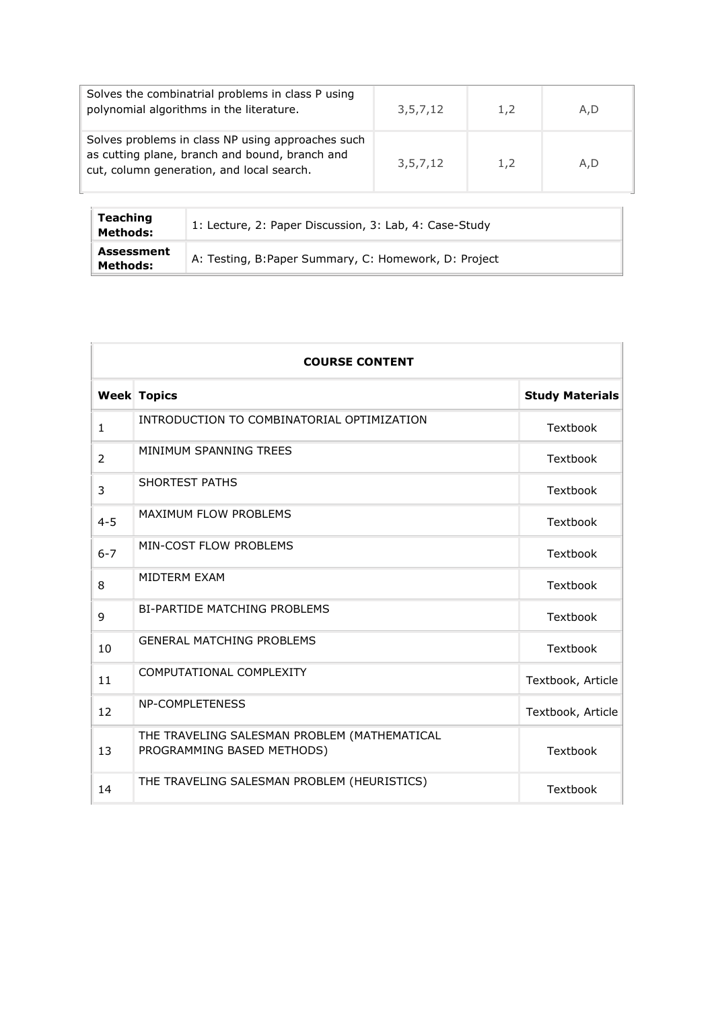| Solves the combinatrial problems in class P using<br>polynomial algorithms in the literature.                                                    | 3,5,7,12    | 1.2 | A.D |
|--------------------------------------------------------------------------------------------------------------------------------------------------|-------------|-----|-----|
| Solves problems in class NP using approaches such<br>as cutting plane, branch and bound, branch and<br>cut, column generation, and local search. | 3, 5, 7, 12 | 1.2 | A.D |

| Teaching<br>Methods:   | 1: Lecture, 2: Paper Discussion, 3: Lab, 4: Case-Study |
|------------------------|--------------------------------------------------------|
| Assessment<br>Methods: | A: Testing, B:Paper Summary, C: Homework, D: Project   |

| <b>COURSE CONTENT</b> |                                                                            |                        |  |  |
|-----------------------|----------------------------------------------------------------------------|------------------------|--|--|
|                       | <b>Week Topics</b>                                                         | <b>Study Materials</b> |  |  |
| $\mathbf{1}$          | INTRODUCTION TO COMBINATORIAL OPTIMIZATION                                 | Textbook               |  |  |
| 2                     | MINIMUM SPANNING TREES                                                     | Textbook               |  |  |
| 3                     | <b>SHORTEST PATHS</b>                                                      | Textbook               |  |  |
| $4 - 5$               | <b>MAXIMUM FLOW PROBLEMS</b>                                               | Textbook               |  |  |
| $6 - 7$               | MIN-COST FLOW PROBLEMS                                                     | Textbook               |  |  |
| 8                     | MIDTERM EXAM                                                               | Textbook               |  |  |
| 9                     | <b>BI-PARTIDE MATCHING PROBLEMS</b>                                        | Textbook               |  |  |
| 10                    | <b>GENERAL MATCHING PROBLEMS</b>                                           | Textbook               |  |  |
| 11                    | COMPUTATIONAL COMPLEXITY                                                   | Textbook, Article      |  |  |
| 12                    | <b>NP-COMPLETENESS</b>                                                     | Textbook, Article      |  |  |
| 13                    | THE TRAVELING SALESMAN PROBLEM (MATHEMATICAL<br>PROGRAMMING BASED METHODS) | Textbook               |  |  |
| 14                    | THE TRAVELING SALESMAN PROBLEM (HEURISTICS)                                | Textbook               |  |  |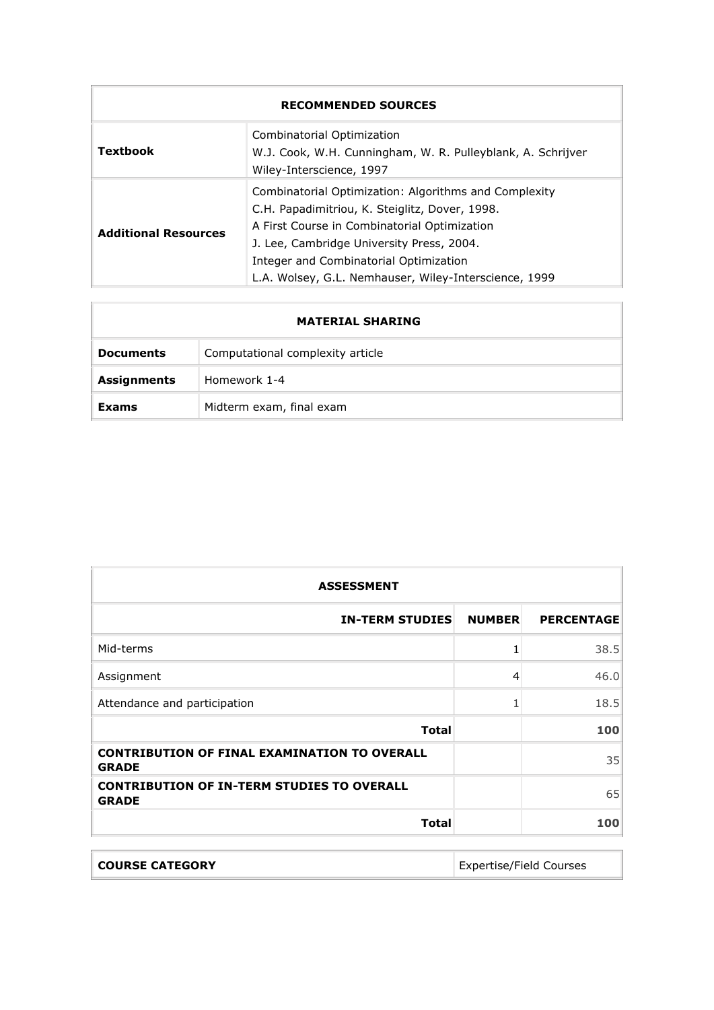| <b>RECOMMENDED SOURCES</b>                                                                                                        |                                                                                                                                                                                                                                                                                                         |  |  |
|-----------------------------------------------------------------------------------------------------------------------------------|---------------------------------------------------------------------------------------------------------------------------------------------------------------------------------------------------------------------------------------------------------------------------------------------------------|--|--|
| Combinatorial Optimization<br>Textbook<br>W.J. Cook, W.H. Cunningham, W. R. Pulleyblank, A. Schrijver<br>Wiley-Interscience, 1997 |                                                                                                                                                                                                                                                                                                         |  |  |
| <b>Additional Resources</b>                                                                                                       | Combinatorial Optimization: Algorithms and Complexity<br>C.H. Papadimitriou, K. Steiglitz, Dover, 1998.<br>A First Course in Combinatorial Optimization<br>J. Lee, Cambridge University Press, 2004.<br>Integer and Combinatorial Optimization<br>L.A. Wolsey, G.L. Nemhauser, Wiley-Interscience, 1999 |  |  |

|                    | <b>MATERIAL SHARING</b>          |
|--------------------|----------------------------------|
| <b>Documents</b>   | Computational complexity article |
| <b>Assignments</b> | Homework 1-4                     |
| Exams              | Midterm exam, final exam         |

| <b>ASSESSMENT</b>                                                   |               |                   |  |  |
|---------------------------------------------------------------------|---------------|-------------------|--|--|
| <b>IN-TERM STUDIES</b>                                              | <b>NUMBER</b> | <b>PERCENTAGE</b> |  |  |
| Mid-terms                                                           |               | 38.5              |  |  |
| Assignment                                                          | 4             | 46.0              |  |  |
| Attendance and participation                                        | 1             | 18.5              |  |  |
| <b>Total</b>                                                        |               | 100               |  |  |
| <b>CONTRIBUTION OF FINAL EXAMINATION TO OVERALL</b><br><b>GRADE</b> |               | 35                |  |  |
| <b>CONTRIBUTION OF IN-TERM STUDIES TO OVERALL</b><br><b>GRADE</b>   |               | 65                |  |  |
| <b>Total</b>                                                        |               | 100               |  |  |

| <b>COURSE CATEGORY</b> | Expertise/Field Courses |
|------------------------|-------------------------|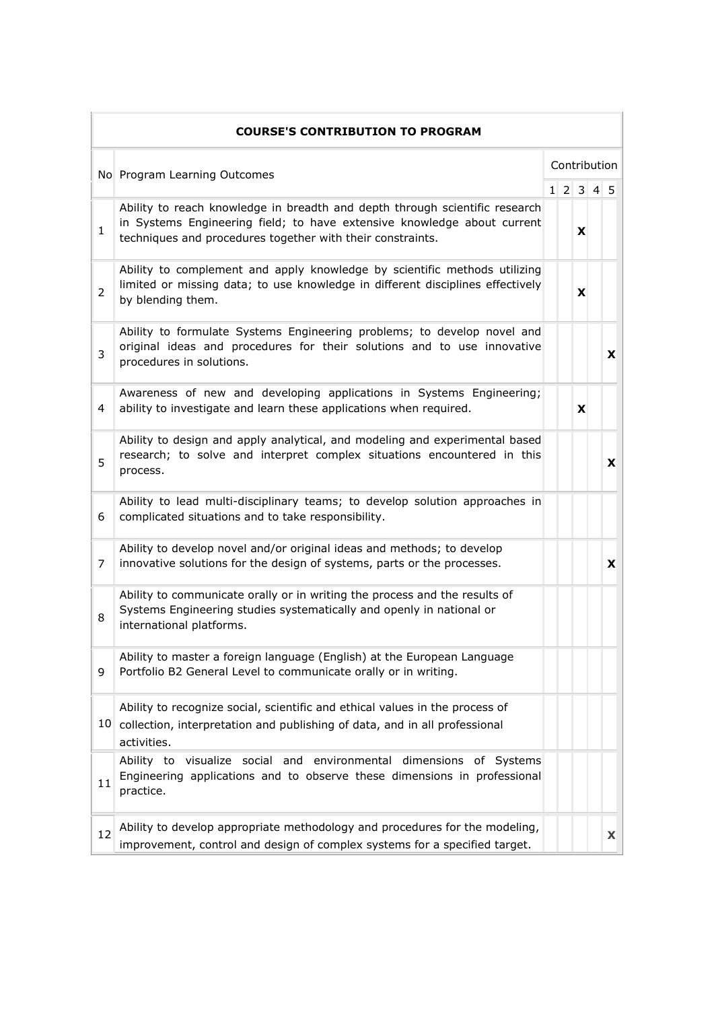|                              | <b>COURSE'S CONTRIBUTION TO PROGRAM</b>                                                                                                                                                                              |  |              |          |  |          |
|------------------------------|----------------------------------------------------------------------------------------------------------------------------------------------------------------------------------------------------------------------|--|--------------|----------|--|----------|
| No Program Learning Outcomes |                                                                                                                                                                                                                      |  | Contribution |          |  |          |
|                              |                                                                                                                                                                                                                      |  |              | 12345    |  |          |
| 1                            | Ability to reach knowledge in breadth and depth through scientific research<br>in Systems Engineering field; to have extensive knowledge about current<br>techniques and procedures together with their constraints. |  |              | x        |  |          |
| 2                            | Ability to complement and apply knowledge by scientific methods utilizing<br>limited or missing data; to use knowledge in different disciplines effectively<br>by blending them.                                     |  |              | x        |  |          |
| 3                            | Ability to formulate Systems Engineering problems; to develop novel and<br>original ideas and procedures for their solutions and to use innovative<br>procedures in solutions.                                       |  |              |          |  | X        |
| 4                            | Awareness of new and developing applications in Systems Engineering;<br>ability to investigate and learn these applications when required.                                                                           |  |              | <b>X</b> |  |          |
| 5                            | Ability to design and apply analytical, and modeling and experimental based<br>research; to solve and interpret complex situations encountered in this<br>process.                                                   |  |              |          |  | <b>X</b> |
| 6                            | Ability to lead multi-disciplinary teams; to develop solution approaches in<br>complicated situations and to take responsibility.                                                                                    |  |              |          |  |          |
| 7                            | Ability to develop novel and/or original ideas and methods; to develop<br>innovative solutions for the design of systems, parts or the processes.                                                                    |  |              |          |  | X        |
| 8                            | Ability to communicate orally or in writing the process and the results of<br>Systems Engineering studies systematically and openly in national or<br>international platforms.                                       |  |              |          |  |          |
| 9                            | Ability to master a foreign language (English) at the European Language<br>Portfolio B2 General Level to communicate orally or in writing.                                                                           |  |              |          |  |          |
|                              | Ability to recognize social, scientific and ethical values in the process of<br>10 collection, interpretation and publishing of data, and in all professional<br>activities.                                         |  |              |          |  |          |
| 11                           | Ability to visualize social and environmental dimensions of Systems<br>Engineering applications and to observe these dimensions in professional<br>practice.                                                         |  |              |          |  |          |
| 12                           | Ability to develop appropriate methodology and procedures for the modeling,<br>improvement, control and design of complex systems for a specified target.                                                            |  |              |          |  | X        |